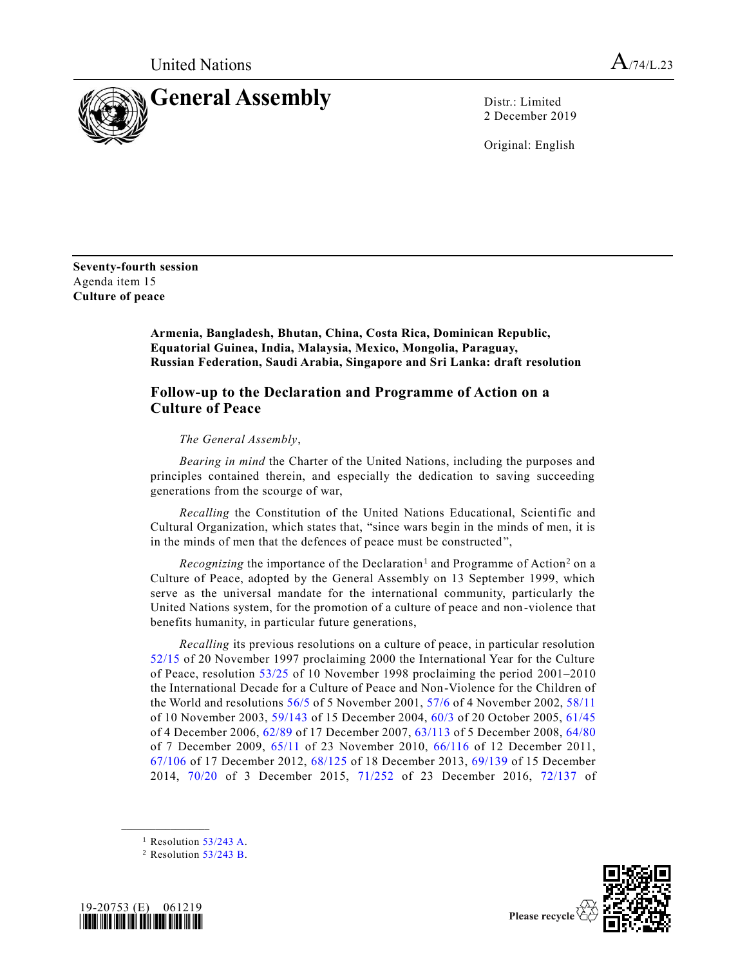

2 December 2019

Original: English

**Seventy-fourth session** Agenda item 15 **Culture of peace**

> **Armenia, Bangladesh, Bhutan, China, Costa Rica, Dominican Republic, Equatorial Guinea, India, Malaysia, Mexico, Mongolia, Paraguay, Russian Federation, Saudi Arabia, Singapore and Sri Lanka: draft resolution**

## **Follow-up to the Declaration and Programme of Action on a Culture of Peace**

## *The General Assembly*,

*Bearing in mind* the Charter of the United Nations, including the purposes and principles contained therein, and especially the dedication to saving succeeding generations from the scourge of war,

*Recalling* the Constitution of the United Nations Educational, Scientific and Cultural Organization, which states that, "since wars begin in the minds of men, it is in the minds of men that the defences of peace must be constructed",

Recognizing the importance of the Declaration<sup>1</sup> and Programme of Action<sup>2</sup> on a Culture of Peace, adopted by the General Assembly on 13 September 1999, which serve as the universal mandate for the international community, particularly the United Nations system, for the promotion of a culture of peace and non-violence that benefits humanity, in particular future generations,

*Recalling* its previous resolutions on a culture of peace, in particular resolution [52/15](https://undocs.org/en/A/RES/52/15) of 20 November 1997 proclaiming 2000 the International Year for the Culture of Peace, resolution [53/25](https://undocs.org/en/A/RES/53/25) of 10 November 1998 proclaiming the period 2001–2010 the International Decade for a Culture of Peace and Non-Violence for the Children of the World and resolutions [56/5](https://undocs.org/en/A/RES/56/5) of 5 November 2001, [57/6](https://undocs.org/en/A/RES/57/6) of 4 November 2002, [58/11](https://undocs.org/en/A/RES/58/11) of 10 November 2003, [59/143](https://undocs.org/en/A/RES/59/143) of 15 December 2004, [60/3](https://undocs.org/en/A/RES/60/3) of 20 October 2005, [61/45](https://undocs.org/en/A/RES/61/45) of 4 December 2006, [62/89](https://undocs.org/en/A/RES/62/89) of 17 December 2007, [63/113](https://undocs.org/en/A/RES/63/113) of 5 December 2008, [64/80](https://undocs.org/en/A/RES/64/80) of 7 December 2009, [65/11](https://undocs.org/en/A/RES/65/11) of 23 November 2010, [66/116](https://undocs.org/en/A/RES/66/116) of 12 December 2011, [67/106](https://undocs.org/en/A/RES/67/106) of 17 December 2012, [68/125](https://undocs.org/en/A/RES/68/125) of 18 December 2013, [69/139](https://undocs.org/en/A/RES/69/139) of 15 December 2014, [70/20](https://undocs.org/en/A/RES/70/20) of 3 December 2015, [71/252](https://undocs.org/en/A/RES/71/252) of 23 December 2016, [72/137](https://undocs.org/en/A/RES/72/137) of

 $2$  Resolution  $53/243$  B.





<sup>&</sup>lt;sup>1</sup> Resolution  $53/243$  A.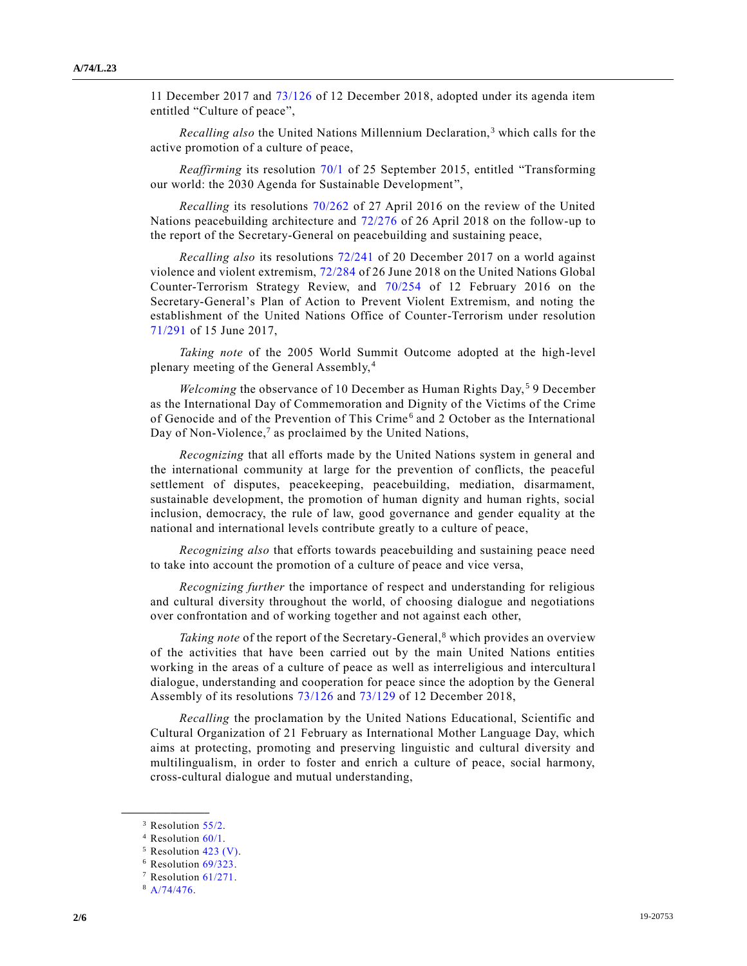11 December 2017 and [73/126](https://undocs.org/en/A/RES/73/126) of 12 December 2018, adopted under its agenda item entitled "Culture of peace",

*Recalling also* the United Nations Millennium Declaration,<sup>3</sup> which calls for the active promotion of a culture of peace,

*Reaffirming* its resolution [70/1](https://undocs.org/en/A/RES/70/1) of 25 September 2015, entitled "Transforming our world: the 2030 Agenda for Sustainable Development",

*Recalling* its resolutions [70/262](https://undocs.org/en/A/RES/70/262) of 27 April 2016 on the review of the United Nations peacebuilding architecture and [72/276](https://undocs.org/en/A/RES/72/276) of 26 April 2018 on the follow-up to the report of the Secretary-General on peacebuilding and sustaining peace,

*Recalling also* its resolutions [72/241](https://undocs.org/en/A/RES/72/241) of 20 December 2017 on a world against violence and violent extremism, [72/284](https://undocs.org/en/A/RES/72/284) of 26 June 2018 on the United Nations Global Counter-Terrorism Strategy Review, and [70/254](https://undocs.org/en/A/RES/70/254) of 12 February 2016 on the Secretary-General's Plan of Action to Prevent Violent Extremism, and noting the establishment of the United Nations Office of Counter-Terrorism under resolution [71/291](https://undocs.org/en/A/RES/71/291) of 15 June 2017,

*Taking note* of the 2005 World Summit Outcome adopted at the high-level plenary meeting of the General Assembly, <sup>4</sup>

*Welcoming* the observance of 10 December as Human Rights Day,<sup>5</sup> 9 December as the International Day of Commemoration and Dignity of the Victims of the Crime of Genocide and of the Prevention of This Crime<sup>6</sup> and 2 October as the International Day of Non-Violence, $<sup>7</sup>$  as proclaimed by the United Nations,</sup>

*Recognizing* that all efforts made by the United Nations system in general and the international community at large for the prevention of conflicts, the peaceful settlement of disputes, peacekeeping, peacebuilding, mediation, disarmament, sustainable development, the promotion of human dignity and human rights, social inclusion, democracy, the rule of law, good governance and gender equality at the national and international levels contribute greatly to a culture of peace,

*Recognizing also* that efforts towards peacebuilding and sustaining peace need to take into account the promotion of a culture of peace and vice versa,

*Recognizing further* the importance of respect and understanding for religious and cultural diversity throughout the world, of choosing dialogue and negotiations over confrontation and of working together and not against each other,

*Taking note* of the report of the Secretary-General,<sup>8</sup> which provides an overview of the activities that have been carried out by the main United Nations entities working in the areas of a culture of peace as well as interreligious and intercultura l dialogue, understanding and cooperation for peace since the adoption by the General Assembly of its resolutions [73/126](https://undocs.org/en/A/RES/73/126) and [73/129](https://undocs.org/en/A/RES/73/129) of 12 December 2018,

*Recalling* the proclamation by the United Nations Educational, Scientific and Cultural Organization of 21 February as International Mother Language Day, which aims at protecting, promoting and preserving linguistic and cultural diversity and multilingualism, in order to foster and enrich a culture of peace, social harmony, cross-cultural dialogue and mutual understanding,

<sup>&</sup>lt;sup>3</sup> Resolution [55/2.](https://undocs.org/en/A/RES/55/2)

<sup>4</sup> Resolution [60/1.](https://undocs.org/en/A/RES/60/1)

<sup>5</sup> Resolution [423 \(V\).](https://undocs.org/en/A/RES/423%20(V))

 $6$  Resolution  $69/323$ .

<sup>7</sup> Resolution [61/271.](https://undocs.org/en/A/RES/61/271)

<sup>8</sup> [A/74/476.](https://undocs.org/en/A/74/476)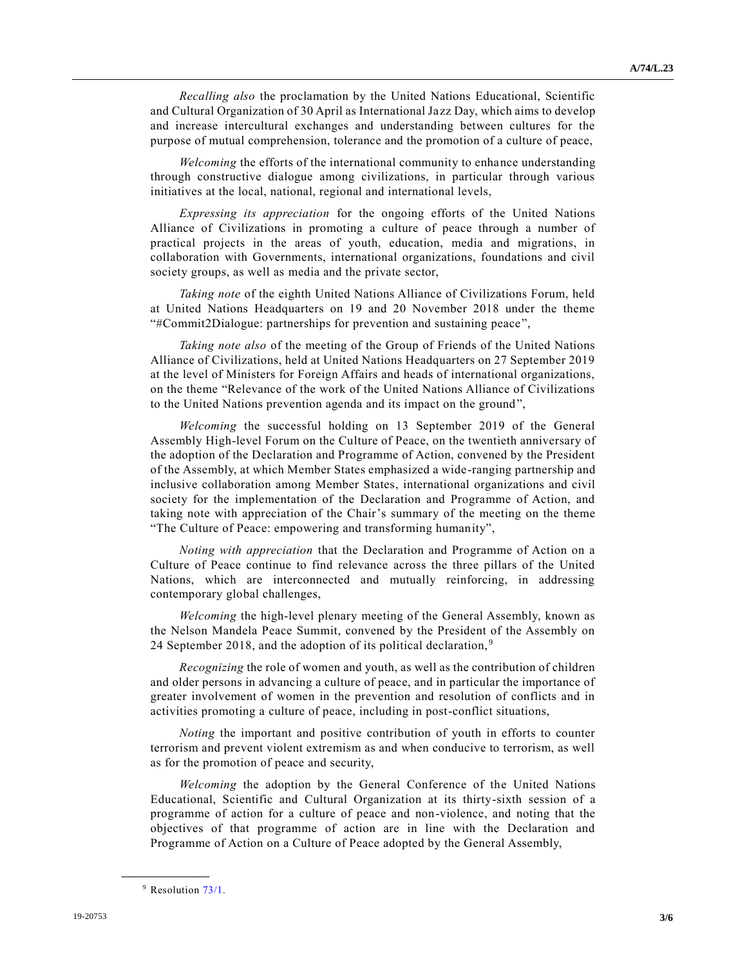*Recalling also* the proclamation by the United Nations Educational, Scientific and Cultural Organization of 30 April as International Jazz Day, which aims to develop and increase intercultural exchanges and understanding between cultures for the purpose of mutual comprehension, tolerance and the promotion of a culture of peace,

*Welcoming* the efforts of the international community to enhance understanding through constructive dialogue among civilizations, in particular through various initiatives at the local, national, regional and international levels,

*Expressing its appreciation* for the ongoing efforts of the United Nations Alliance of Civilizations in promoting a culture of peace through a number of practical projects in the areas of youth, education, media and migrations, in collaboration with Governments, international organizations, foundations and civil society groups, as well as media and the private sector,

*Taking note* of the eighth United Nations Alliance of Civilizations Forum, held at United Nations Headquarters on 19 and 20 November 2018 under the theme "#Commit2Dialogue: partnerships for prevention and sustaining peace",

*Taking note also* of the meeting of the Group of Friends of the United Nations Alliance of Civilizations, held at United Nations Headquarters on 27 September 2019 at the level of Ministers for Foreign Affairs and heads of international organizations, on the theme "Relevance of the work of the United Nations Alliance of Civilizations to the United Nations prevention agenda and its impact on the ground",

*Welcoming* the successful holding on 13 September 2019 of the General Assembly High-level Forum on the Culture of Peace, on the twentieth anniversary of the adoption of the Declaration and Programme of Action, convened by the President of the Assembly, at which Member States emphasized a wide-ranging partnership and inclusive collaboration among Member States, international organizations and civil society for the implementation of the Declaration and Programme of Action, and taking note with appreciation of the Chair's summary of the meeting on the theme "The Culture of Peace: empowering and transforming humanity",

*Noting with appreciation* that the Declaration and Programme of Action on a Culture of Peace continue to find relevance across the three pillars of the United Nations, which are interconnected and mutually reinforcing, in addressing contemporary global challenges,

*Welcoming* the high-level plenary meeting of the General Assembly, known as the Nelson Mandela Peace Summit, convened by the President of the Assembly on 24 September 2018, and the adoption of its political declaration,<sup>9</sup>

*Recognizing* the role of women and youth, as well as the contribution of children and older persons in advancing a culture of peace, and in particular the importance of greater involvement of women in the prevention and resolution of conflicts and in activities promoting a culture of peace, including in post-conflict situations,

*Noting* the important and positive contribution of youth in efforts to counter terrorism and prevent violent extremism as and when conducive to terrorism, as well as for the promotion of peace and security,

*Welcoming* the adoption by the General Conference of the United Nations Educational, Scientific and Cultural Organization at its thirty-sixth session of a programme of action for a culture of peace and non-violence, and noting that the objectives of that programme of action are in line with the Declaration and Programme of Action on a Culture of Peace adopted by the General Assembly,

 $9$  Resolution  $73/1$ .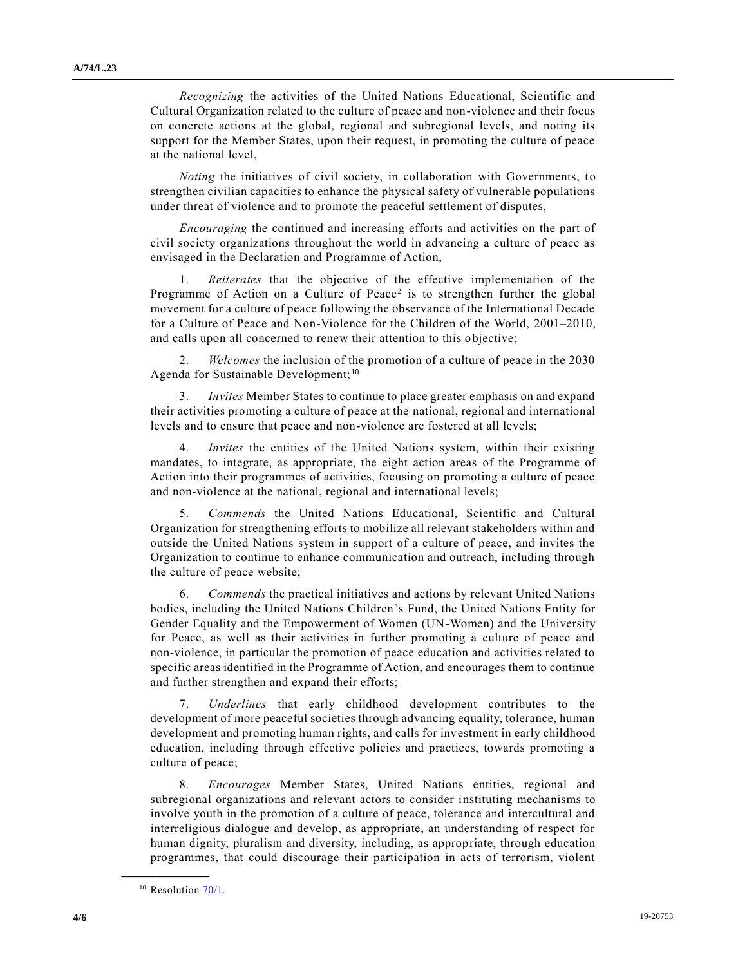*Recognizing* the activities of the United Nations Educational, Scientific and Cultural Organization related to the culture of peace and non-violence and their focus on concrete actions at the global, regional and subregional levels, and noting its support for the Member States, upon their request, in promoting the culture of peace at the national level,

*Noting* the initiatives of civil society, in collaboration with Governments, to strengthen civilian capacities to enhance the physical safety of vulnerable populations under threat of violence and to promote the peaceful settlement of disputes,

*Encouraging* the continued and increasing efforts and activities on the part of civil society organizations throughout the world in advancing a culture of peace as envisaged in the Declaration and Programme of Action,

1. *Reiterates* that the objective of the effective implementation of the Programme of Action on a Culture of Peace<sup>2</sup> is to strengthen further the global movement for a culture of peace following the observance of the International Decade for a Culture of Peace and Non-Violence for the Children of the World, 2001–2010, and calls upon all concerned to renew their attention to this objective;

2. *Welcomes* the inclusion of the promotion of a culture of peace in the 2030 Agenda for Sustainable Development;<sup>10</sup>

3. *Invites* Member States to continue to place greater emphasis on and expand their activities promoting a culture of peace at the national, regional and international levels and to ensure that peace and non-violence are fostered at all levels;

4. *Invites* the entities of the United Nations system, within their existing mandates, to integrate, as appropriate, the eight action areas of the Programme of Action into their programmes of activities, focusing on promoting a culture of peace and non-violence at the national, regional and international levels;

5. *Commends* the United Nations Educational, Scientific and Cultural Organization for strengthening efforts to mobilize all relevant stakeholders within and outside the United Nations system in support of a culture of peace, and invites the Organization to continue to enhance communication and outreach, including through the culture of peace website;

6. *Commends* the practical initiatives and actions by relevant United Nations bodies, including the United Nations Children's Fund, the United Nations Entity for Gender Equality and the Empowerment of Women (UN-Women) and the University for Peace, as well as their activities in further promoting a culture of peace and non-violence, in particular the promotion of peace education and activities related to specific areas identified in the Programme of Action, and encourages them to continue and further strengthen and expand their efforts;

7. *Underlines* that early childhood development contributes to the development of more peaceful societies through advancing equality, tolerance, human development and promoting human rights, and calls for investment in early childhood education, including through effective policies and practices, towards promoting a culture of peace;

8. *Encourages* Member States, United Nations entities, regional and subregional organizations and relevant actors to consider instituting mechanisms to involve youth in the promotion of a culture of peace, tolerance and intercultural and interreligious dialogue and develop, as appropriate, an understanding of respect for human dignity, pluralism and diversity, including, as appropriate, through education programmes, that could discourage their participation in acts of terrorism, violent

<sup>&</sup>lt;sup>10</sup> Resolution [70/1.](https://undocs.org/en/A/RES/70/1)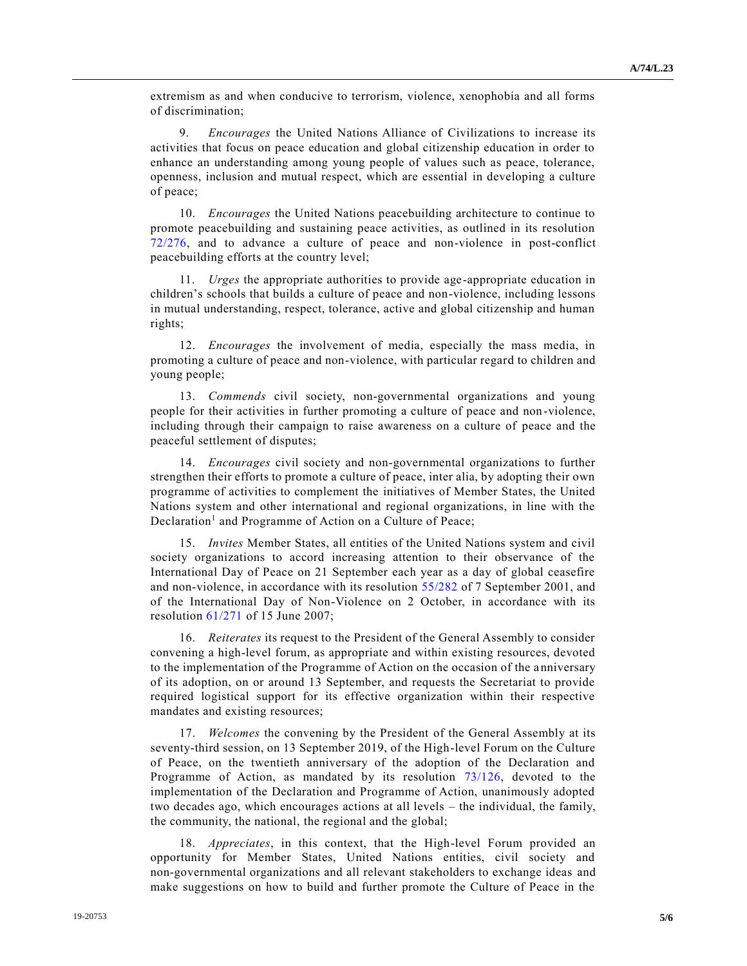extremism as and when conducive to terrorism, violence, xenophobia and all forms of discrimination;

9. *Encourages* the United Nations Alliance of Civilizations to increase its activities that focus on peace education and global citizenship education in order to enhance an understanding among young people of values such as peace, tolerance, openness, inclusion and mutual respect, which are essential in developing a culture of peace;

10. *Encourages* the United Nations peacebuilding architecture to continue to promote peacebuilding and sustaining peace activities, as outlined in its resolution [72/276,](https://undocs.org/en/A/RES/72/276) and to advance a culture of peace and non-violence in post-conflict peacebuilding efforts at the country level;

11. *Urges* the appropriate authorities to provide age-appropriate education in children's schools that builds a culture of peace and non-violence, including lessons in mutual understanding, respect, tolerance, active and global citizenship and human rights;

12. *Encourages* the involvement of media, especially the mass media, in promoting a culture of peace and non-violence, with particular regard to children and young people;

13. *Commends* civil society, non-governmental organizations and young people for their activities in further promoting a culture of peace and non-violence, including through their campaign to raise awareness on a culture of peace and the peaceful settlement of disputes;

14. *Encourages* civil society and non-governmental organizations to further strengthen their efforts to promote a culture of peace, inter alia, by adopting their own programme of activities to complement the initiatives of Member States, the United Nations system and other international and regional organizations, in line with the Declaration<sup>1</sup> and Programme of Action on a Culture of Peace;

15. *Invites* Member States, all entities of the United Nations system and civil society organizations to accord increasing attention to their observance of the International Day of Peace on 21 September each year as a day of global ceasefire and non-violence, in accordance with its resolution [55/282](https://undocs.org/en/A/RES/55/282) of 7 September 2001, and of the International Day of Non-Violence on 2 October, in accordance with its resolution [61/271](https://undocs.org/en/A/RES/61/271) of 15 June 2007;

16. *Reiterates* its request to the President of the General Assembly to consider convening a high-level forum, as appropriate and within existing resources, devoted to the implementation of the Programme of Action on the occasion of the anniversary of its adoption, on or around 13 September, and requests the Secretariat to provide required logistical support for its effective organization within their respective mandates and existing resources;

17. *Welcomes* the convening by the President of the General Assembly at its seventy-third session, on 13 September 2019, of the High-level Forum on the Culture of Peace, on the twentieth anniversary of the adoption of the Declaration and Programme of Action, as mandated by its resolution [73/126,](https://undocs.org/en/A/RES/73/126) devoted to the implementation of the Declaration and Programme of Action, unanimously adopted two decades ago, which encourages actions at all levels – the individual, the family, the community, the national, the regional and the global;

18. *Appreciates*, in this context, that the High-level Forum provided an opportunity for Member States, United Nations entities, civil society and non-governmental organizations and all relevant stakeholders to exchange ideas and make suggestions on how to build and further promote the Culture of Peace in the